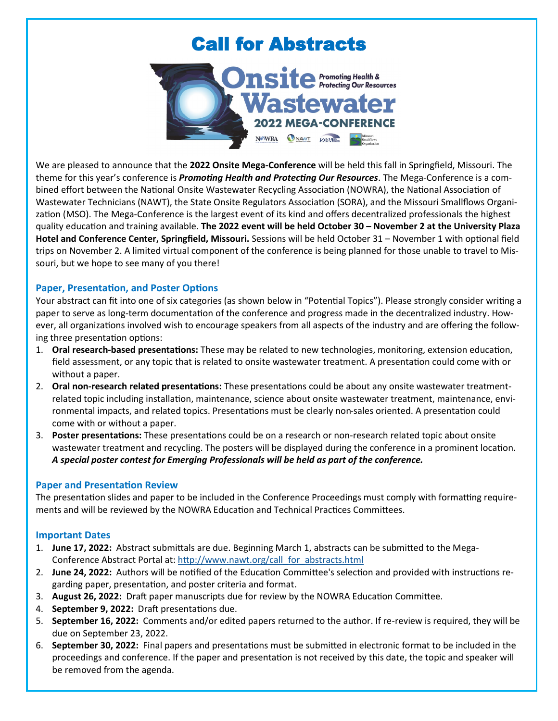# Call for Abstracts



We are pleased to announce that the **2022 Onsite Mega-Conference** will be held this fall in Springfield, Missouri. The theme for this year's conference is *Promoting Health and Protecting Our Resources*. The Mega-Conference is a combined effort between the National Onsite Wastewater Recycling Association (NOWRA), the National Association of Wastewater Technicians (NAWT), the State Onsite Regulators Association (SORA), and the Missouri Smallflows Organization (MSO). The Mega-Conference is the largest event of its kind and offers decentralized professionals the highest quality education and training available. **The 2022 event will be held October 30 – November 2 at the University Plaza Hotel and Conference Center, Springfield, Missouri.** Sessions will be held October 31 – November 1 with optional field trips on November 2. A limited virtual component of the conference is being planned for those unable to travel to Missouri, but we hope to see many of you there!

# **Paper, Presentation, and Poster Options**

Your abstract can fit into one of six categories (as shown below in "Potential Topics"). Please strongly consider writing a paper to serve as long-term documentation of the conference and progress made in the decentralized industry. However, all organizations involved wish to encourage speakers from all aspects of the industry and are offering the following three presentation options:

- 1. **Oral research-based presentations:** These may be related to new technologies, monitoring, extension education, field assessment, or any topic that is related to onsite wastewater treatment. A presentation could come with or without a paper.
- 2. **Oral non-research related presentations:** These presentations could be about any onsite wastewater treatmentrelated topic including installation, maintenance, science about onsite wastewater treatment, maintenance, environmental impacts, and related topics. Presentations must be clearly non-sales oriented. A presentation could come with or without a paper.
- 3. **Poster presentations:** These presentations could be on a research or non-research related topic about onsite wastewater treatment and recycling. The posters will be displayed during the conference in a prominent location. *A special poster contest for Emerging Professionals will be held as part of the conference.*

# **Paper and Presentation Review**

The presentation slides and paper to be included in the Conference Proceedings must comply with formatting requirements and will be reviewed by the NOWRA Education and Technical Practices Committees.

# **Important Dates**

- 1. **June 17, 2022:** Abstract submittals are due. Beginning March 1, abstracts can be submitted to the Mega-Conference Abstract Portal at: [http://www.nawt.org/call\\_for\\_abstracts.html](http://www.nawt.org/call_for_abstracts.html)
- 2. **June 24, 2022:** Authors will be notified of the Education Committee's selection and provided with instructions regarding paper, presentation, and poster criteria and format.
- 3. **August 26, 2022:** Draft paper manuscripts due for review by the NOWRA Education Committee.
- 4. **September 9, 2022:** Draft presentations due.
- 5. **September 16, 2022:** Comments and/or edited papers returned to the author. If re-review is required, they will be due on September 23, 2022.
- 6. **September 30, 2022:** Final papers and presentations must be submitted in electronic format to be included in the proceedings and conference. If the paper and presentation is not received by this date, the topic and speaker will be removed from the agenda.